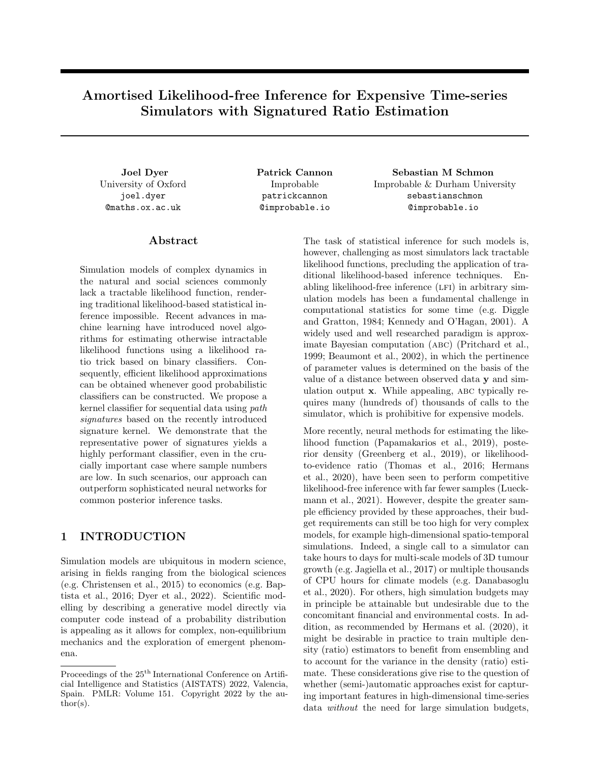# Amortised Likelihood-free Inference for Expensive Time-series Simulators with Signatured Ratio Estimation

University of Oxford joel.dyer @maths.ox.ac.uk

### Abstract

Simulation models of complex dynamics in the natural and social sciences commonly lack a tractable likelihood function, rendering traditional likelihood-based statistical inference impossible. Recent advances in machine learning have introduced novel algorithms for estimating otherwise intractable likelihood functions using a likelihood ratio trick based on binary classifiers. Consequently, efficient likelihood approximations can be obtained whenever good probabilistic classifiers can be constructed. We propose a kernel classifier for sequential data using path signatures based on the recently introduced signature kernel. We demonstrate that the representative power of signatures yields a highly performant classifier, even in the crucially important case where sample numbers are low. In such scenarios, our approach can outperform sophisticated neural networks for common posterior inference tasks.

# 1 INTRODUCTION

Simulation models are ubiquitous in modern science, arising in fields ranging from the biological sciences (e.g. Christensen et al., 2015) to economics (e.g. Baptista et al., 2016; Dyer et al., 2022). Scientific modelling by describing a generative model directly via computer code instead of a probability distribution is appealing as it allows for complex, non-equilibrium mechanics and the exploration of emergent phenomena.

Improbable patrickcannon @improbable.io

Joel Dyer Patrick Cannon Sebastian M Schmon Improbable & Durham University sebastianschmon @improbable.io

> The task of statistical inference for such models is, however, challenging as most simulators lack tractable likelihood functions, precluding the application of traditional likelihood-based inference techniques. Enabling likelihood-free inference (LFI) in arbitrary simulation models has been a fundamental challenge in computational statistics for some time (e.g. Diggle and Gratton, 1984; Kennedy and O'Hagan, 2001). A widely used and well researched paradigm is approximate Bayesian computation (abc) (Pritchard et al., 1999; Beaumont et al., 2002), in which the pertinence of parameter values is determined on the basis of the value of a distance between observed data y and simulation output x. While appealing, abc typically requires many (hundreds of) thousands of calls to the simulator, which is prohibitive for expensive models.

> More recently, neural methods for estimating the likelihood function (Papamakarios et al., 2019), posterior density (Greenberg et al., 2019), or likelihoodto-evidence ratio (Thomas et al., 2016; Hermans et al., 2020), have been seen to perform competitive likelihood-free inference with far fewer samples (Lueckmann et al., 2021). However, despite the greater sample efficiency provided by these approaches, their budget requirements can still be too high for very complex models, for example high-dimensional spatio-temporal simulations. Indeed, a single call to a simulator can take hours to days for multi-scale models of 3D tumour growth (e.g. Jagiella et al., 2017) or multiple thousands of CPU hours for climate models (e.g. Danabasoglu et al., 2020). For others, high simulation budgets may in principle be attainable but undesirable due to the concomitant financial and environmental costs. In addition, as recommended by Hermans et al. (2020), it might be desirable in practice to train multiple density (ratio) estimators to benefit from ensembling and to account for the variance in the density (ratio) estimate. These considerations give rise to the question of whether (semi-)automatic approaches exist for capturing important features in high-dimensional time-series data without the need for large simulation budgets,

Proceedings of the  $25<sup>th</sup>$  International Conference on Artificial Intelligence and Statistics (AISTATS) 2022, Valencia, Spain. PMLR: Volume 151. Copyright 2022 by the author(s).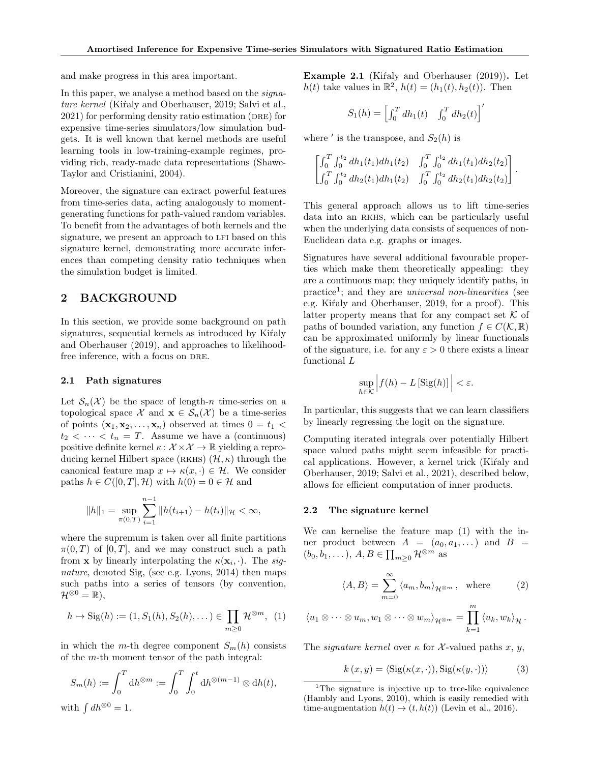and make progress in this area important.

In this paper, we analyse a method based on the *signa*ture kernel (Kiŕaly and Oberhauser, 2019; Salvi et al.,  $2021$ ) for performing density ratio estimation (DRE) for expensive time-series simulators/low simulation budgets. It is well known that kernel methods are useful learning tools in low-training-example regimes, providing rich, ready-made data representations (Shawe-Taylor and Cristianini, 2004).

Moreover, the signature can extract powerful features from time-series data, acting analogously to momentgenerating functions for path-valued random variables. To benefit from the advantages of both kernels and the signature, we present an approach to LFI based on this signature kernel, demonstrating more accurate inferences than competing density ratio techniques when the simulation budget is limited.

## 2 BACKGROUND

In this section, we provide some background on path signatures, sequential kernels as introduced by Kirnaly and Oberhauser (2019), and approaches to likelihoodfree inference, with a focus on DRE.

#### 2.1 Path signatures

Let  $\mathcal{S}_n(\mathcal{X})$  be the space of length-n time-series on a topological space X and  $\mathbf{x} \in \mathcal{S}_n(\mathcal{X})$  be a time-series of points  $(\mathbf{x}_1, \mathbf{x}_2, \dots, \mathbf{x}_n)$  observed at times  $0 = t_1$  <  $t_2 < \cdots < t_n = T$ . Assume we have a (continuous) positive definite kernel  $\kappa: \mathcal{X} \times \mathcal{X} \to \mathbb{R}$  yielding a reproducing kernel Hilbert space (RKHS)  $(\mathcal{H}, \kappa)$  through the canonical feature map  $x \mapsto \kappa(x, \cdot) \in \mathcal{H}$ . We consider paths  $h \in C([0, T], \mathcal{H})$  with  $h(0) = 0 \in \mathcal{H}$  and

$$
||h||_1 = \sup_{\pi(0,T)} \sum_{i=1}^{n-1} ||h(t_{i+1}) - h(t_i)||_{\mathcal{H}} < \infty,
$$

where the supremum is taken over all finite partitions  $\pi(0,T)$  of  $[0,T]$ , and we may construct such a path from **x** by linearly interpolating the  $\kappa(\mathbf{x}_i, \cdot)$ . The signature, denoted Sig, (see e.g. Lyons, 2014) then maps such paths into a series of tensors (by convention,  $\mathcal{H}^{\otimes 0} = \mathbb{R}$ ).

$$
h \mapsto \mathrm{Sig}(h) := (1, S_1(h), S_2(h), \dots) \in \prod_{m \ge 0} \mathcal{H}^{\otimes m}, \tag{1}
$$

in which the m-th degree component  $S_m(h)$  consists of the m-th moment tensor of the path integral:

$$
S_m(h) := \int_0^T \mathrm{d}h^{\otimes m} := \int_0^T \int_0^t \mathrm{d}h^{\otimes (m-1)} \otimes \mathrm{d}h(t),
$$

Example 2.1 (Kifaly and Oberhauser  $(2019)$ ). Let  $h(t)$  take values in  $\mathbb{R}^2$ ,  $h(t) = (h_1(t), h_2(t))$ . Then

$$
S_1(h) = \left[\int_0^T dh_1(t) \quad \int_0^T dh_2(t)\right]'
$$

where ' is the transpose, and  $S_2(h)$  is

$$
\begin{bmatrix} \int_0^T \int_0^{t_2} dh_1(t_1) dh_1(t_2) & \int_0^T \int_0^{t_2} dh_1(t_1) dh_2(t_2) \\ \int_0^T \int_0^{t_2} dh_2(t_1) dh_1(t_2) & \int_0^T \int_0^{t_2} dh_2(t_1) dh_2(t_2) \end{bmatrix}.
$$

This general approach allows us to lift time-series data into an RKHS, which can be particularly useful when the underlying data consists of sequences of non-Euclidean data e.g. graphs or images.

Signatures have several additional favourable properties which make them theoretically appealing: they are a continuous map; they uniquely identify paths, in practice<sup>1</sup>; and they are *universal non-linearities* (see e.g. Kiraly and Oberhauser, 2019, for a proof). This latter property means that for any compact set  $\mathcal K$  of paths of bounded variation, any function  $f \in C(\mathcal{K}, \mathbb{R})$ can be approximated uniformly by linear functionals of the signature, i.e. for any  $\varepsilon > 0$  there exists a linear functional L

$$
\sup_{h \in \mathcal{K}} \left| f(h) - L \left[ \text{Sig}(h) \right] \right| < \varepsilon.
$$

In particular, this suggests that we can learn classifiers by linearly regressing the logit on the signature.

Computing iterated integrals over potentially Hilbert space valued paths might seem infeasible for practical applications. However, a kernel trick (Kirtaly and Oberhauser, 2019; Salvi et al., 2021), described below, allows for efficient computation of inner products.

#### 2.2 The signature kernel

We can kernelise the feature map (1) with the inner product between  $A = (a_0, a_1, \dots)$  and  $B =$  $(b_0, b_1, \dots), A, B \in \prod_{m \geq 0} \mathcal{H}^{\otimes m}$  as

$$
\langle A, B \rangle = \sum_{m=0}^{\infty} \langle a_m, b_m \rangle_{\mathcal{H}^{\otimes m}}, \text{ where } (2)
$$

$$
\langle u_1 \otimes \cdots \otimes u_m, w_1 \otimes \cdots \otimes w_m \rangle_{\mathcal{H}^{\otimes m}} = \prod_{k=1}^m \langle u_k, w_k \rangle_{\mathcal{H}}.
$$

The *signature kernel* over  $\kappa$  for X-valued paths x, y,

$$
k(x, y) = \langle \text{Sig}(\kappa(x, \cdot)), \text{Sig}(\kappa(y, \cdot)) \rangle \tag{3}
$$

<sup>1</sup>The signature is injective up to tree-like equivalence (Hambly and Lyons, 2010), which is easily remedied with time-augmentation  $h(t) \mapsto (t, h(t))$  (Levin et al., 2016).

with  $\int dh^{\otimes 0} = 1$ .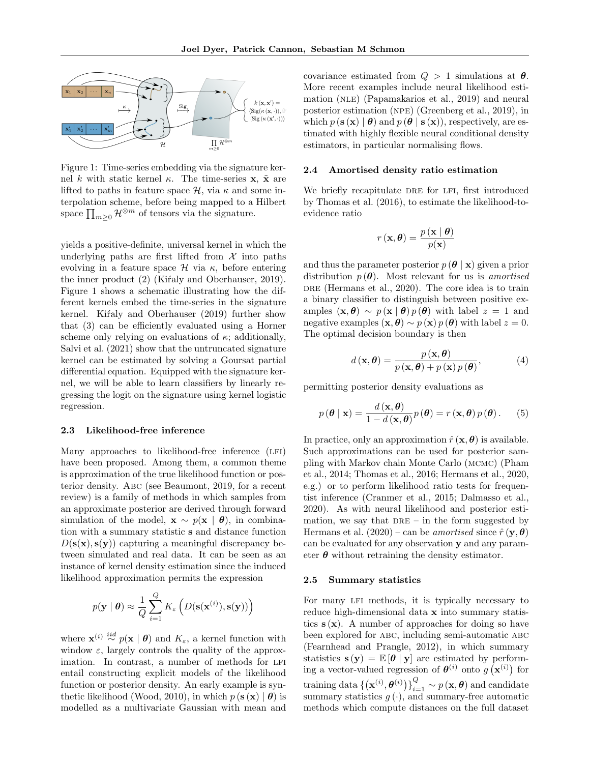

Figure 1: Time-series embedding via the signature kernel k with static kernel κ. The time-series x,  $\tilde{x}$  are lifted to paths in feature space  $\mathcal{H}$ , via  $\kappa$  and some interpolation scheme, before being mapped to a Hilbert space  $\prod_{m\geq 0} \mathcal{H}^{\otimes m}$  of tensors via the signature.

yields a positive-definite, universal kernel in which the underlying paths are first lifted from  $\mathcal X$  into paths evolving in a feature space  $\mathcal H$  via  $\kappa$ , before entering the inner product  $(2)$  (Kirtaly and Oberhauser, 2019). Figure 1 shows a schematic illustrating how the different kernels embed the time-series in the signature kernel. Kirtaly and Oberhauser (2019) further show that (3) can be efficiently evaluated using a Horner scheme only relying on evaluations of  $\kappa$ ; additionally, Salvi et al. (2021) show that the untruncated signature kernel can be estimated by solving a Goursat partial differential equation. Equipped with the signature kernel, we will be able to learn classifiers by linearly regressing the logit on the signature using kernel logistic regression.

#### 2.3 Likelihood-free inference

Many approaches to likelihood-free inference (LFI) have been proposed. Among them, a common theme is approximation of the true likelihood function or posterior density. Abc (see Beaumont, 2019, for a recent review) is a family of methods in which samples from an approximate posterior are derived through forward simulation of the model,  $\mathbf{x} \sim p(\mathbf{x} \mid \boldsymbol{\theta})$ , in combination with a summary statistic s and distance function  $D(\mathbf{s}(\mathbf{x}), \mathbf{s}(\mathbf{y}))$  capturing a meaningful discrepancy between simulated and real data. It can be seen as an instance of kernel density estimation since the induced likelihood approximation permits the expression

$$
p(\mathbf{y} \mid \boldsymbol{\theta}) \approx \frac{1}{Q} \sum_{i=1}^{Q} K_{\varepsilon} \left( D(\mathbf{s}(\mathbf{x}^{(i)}), \mathbf{s}(\mathbf{y})) \right)
$$

where  $\mathbf{x}^{(i)} \stackrel{iid}{\sim} p(\mathbf{x} | \boldsymbol{\theta})$  and  $K_{\varepsilon}$ , a kernel function with window  $\varepsilon$ , largely controls the quality of the approximation. In contrast, a number of methods for LFI entail constructing explicit models of the likelihood function or posterior density. An early example is synthetic likelihood (Wood, 2010), in which  $p(\mathbf{s}(\mathbf{x}) | \boldsymbol{\theta})$  is modelled as a multivariate Gaussian with mean and covariance estimated from  $Q > 1$  simulations at  $\theta$ . More recent examples include neural likelihood estimation (nle) (Papamakarios et al., 2019) and neural posterior estimation (npe) (Greenberg et al., 2019), in which  $p(\mathbf{s}(\mathbf{x}) | \boldsymbol{\theta})$  and  $p(\boldsymbol{\theta} | \mathbf{s}(\mathbf{x}))$ , respectively, are estimated with highly flexible neural conditional density estimators, in particular normalising flows.

#### 2.4 Amortised density ratio estimation

We briefly recapitulate DRE for LFI, first introduced by Thomas et al. (2016), to estimate the likelihood-toevidence ratio

$$
r(\mathbf{x}, \boldsymbol{\theta}) = \frac{p(\mathbf{x} | \boldsymbol{\theta})}{p(\mathbf{x})}
$$

and thus the parameter posterior  $p(\theta | \mathbf{x})$  given a prior distribution  $p(\theta)$ . Most relevant for us is amortised DRE (Hermans et al., 2020). The core idea is to train a binary classifier to distinguish between positive examples  $(\mathbf{x}, \boldsymbol{\theta}) \sim p(\mathbf{x} | \boldsymbol{\theta}) p(\boldsymbol{\theta})$  with label  $z = 1$  and negative examples  $(\mathbf{x}, \boldsymbol{\theta}) \sim p(\mathbf{x}) p(\boldsymbol{\theta})$  with label  $z = 0$ . The optimal decision boundary is then

$$
d\left(\mathbf{x},\boldsymbol{\theta}\right) = \frac{p\left(\mathbf{x},\boldsymbol{\theta}\right)}{p\left(\mathbf{x},\boldsymbol{\theta}\right) + p\left(\mathbf{x}\right)p\left(\boldsymbol{\theta}\right)},\tag{4}
$$

permitting posterior density evaluations as

$$
p(\boldsymbol{\theta} \mid \mathbf{x}) = \frac{d(\mathbf{x}, \boldsymbol{\theta})}{1 - d(\mathbf{x}, \boldsymbol{\theta})} p(\boldsymbol{\theta}) = r(\mathbf{x}, \boldsymbol{\theta}) p(\boldsymbol{\theta}). \qquad (5)
$$

In practice, only an approximation  $\hat{r}(\mathbf{x}, \boldsymbol{\theta})$  is available. Such approximations can be used for posterior sampling with Markov chain Monte Carlo (mcmc) (Pham et al., 2014; Thomas et al., 2016; Hermans et al., 2020, e.g.) or to perform likelihood ratio tests for frequentist inference (Cranmer et al., 2015; Dalmasso et al., 2020). As with neural likelihood and posterior estimation, we say that  $DRE - in$  the form suggested by Hermans et al.  $(2020)$  – can be *amortised* since  $\hat{r}(\mathbf{y}, \boldsymbol{\theta})$ can be evaluated for any observation y and any parameter  $\theta$  without retraining the density estimator.

#### 2.5 Summary statistics

For many LFI methods, it is typically necessary to reduce high-dimensional data x into summary statistics  $s(x)$ . A number of approaches for doing so have been explored for abc, including semi-automatic abc (Fearnhead and Prangle, 2012), in which summary statistics  $\mathbf{s}(\mathbf{v}) = \mathbb{E}[\theta | \mathbf{v}]$  are estimated by performing a vector-valued regression of  $\theta^{(i)}$  onto  $g(\mathbf{x}^{(i)})$  for training data  $\left\{ \left( \mathbf{x}^{(i)},\pmb{\theta}^{(i)} \right) \right\}_{i=1}^{Q} \sim p\left( \mathbf{x},\pmb{\theta} \right)$  and candidate summary statistics  $g(\cdot)$ , and summary-free automatic methods which compute distances on the full dataset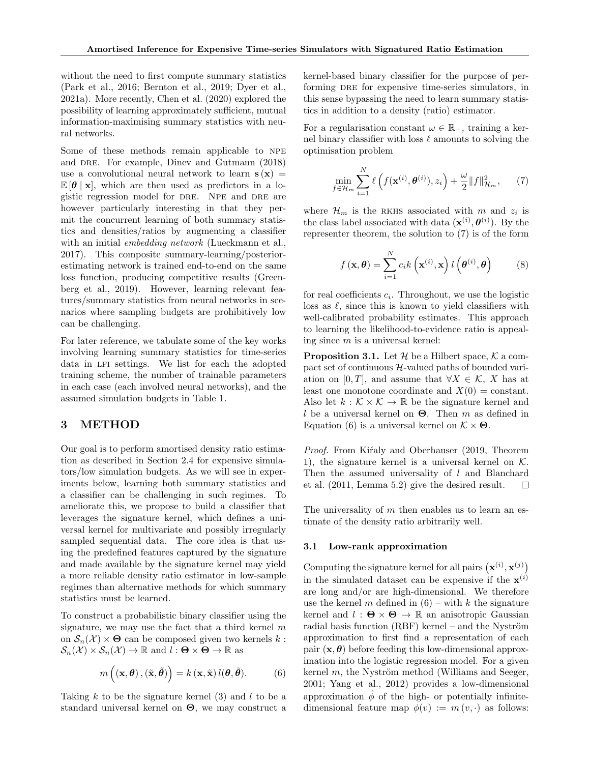without the need to first compute summary statistics (Park et al., 2016; Bernton et al., 2019; Dyer et al., 2021a). More recently, Chen et al. (2020) explored the possibility of learning approximately sufficient, mutual information-maximising summary statistics with neural networks.

Some of these methods remain applicable to NPE and DRE. For example, Diney and Gutmann (2018) use a convolutional neural network to learn  $s(x)$  =  $\mathbb{E}[\theta \mid \mathbf{x}]$ , which are then used as predictors in a logistic regression model for DRE. NPE and DRE are however particularly interesting in that they permit the concurrent learning of both summary statistics and densities/ratios by augmenting a classifier with an initial *embedding network* (Lueckmann et al., 2017). This composite summary-learning/posteriorestimating network is trained end-to-end on the same loss function, producing competitive results (Greenberg et al., 2019). However, learning relevant features/summary statistics from neural networks in scenarios where sampling budgets are prohibitively low can be challenging.

For later reference, we tabulate some of the key works involving learning summary statistics for time-series data in LFI settings. We list for each the adopted training scheme, the number of trainable parameters in each case (each involved neural networks), and the assumed simulation budgets in Table 1.

## 3 METHOD

Our goal is to perform amortised density ratio estimation as described in Section 2.4 for expensive simulators/low simulation budgets. As we will see in experiments below, learning both summary statistics and a classifier can be challenging in such regimes. To ameliorate this, we propose to build a classifier that leverages the signature kernel, which defines a universal kernel for multivariate and possibly irregularly sampled sequential data. The core idea is that using the predefined features captured by the signature and made available by the signature kernel may yield a more reliable density ratio estimator in low-sample regimes than alternative methods for which summary statistics must be learned.

To construct a probabilistic binary classifier using the signature, we may use the fact that a third kernel  $m$ on  $\mathcal{S}_n(\mathcal{X}) \times \Theta$  can be composed given two kernels k:  $\mathcal{S}_n(\mathcal{X}) \times \mathcal{S}_n(\mathcal{X}) \to \mathbb{R}$  and  $l : \Theta \times \Theta \to \mathbb{R}$  as

$$
m\left((\mathbf{x},\boldsymbol{\theta}),(\tilde{\mathbf{x}},\tilde{\boldsymbol{\theta}})\right)=k\left(\mathbf{x},\tilde{\mathbf{x}}\right)l(\boldsymbol{\theta},\tilde{\boldsymbol{\theta}}). \hspace{1cm} (6)
$$

Taking k to be the signature kernel  $(3)$  and l to be a standard universal kernel on  $\Theta$ , we may construct a kernel-based binary classifier for the purpose of performing DRE for expensive time-series simulators, in this sense bypassing the need to learn summary statistics in addition to a density (ratio) estimator.

For a regularisation constant  $\omega \in \mathbb{R}_+$ , training a kernel binary classifier with loss  $\ell$  amounts to solving the optimisation problem

$$
\min_{f \in \mathcal{H}_m} \sum_{i=1}^N \ell\left(f(\mathbf{x}^{(i)}, \boldsymbol{\theta}^{(i)}), z_i\right) + \frac{\omega}{2} ||f||_{\mathcal{H}_m}^2, \qquad (7)
$$

where  $\mathcal{H}_m$  is the RKHS associated with m and  $z_i$  is the class label associated with data  $(\mathbf{x}^{(i)}, \boldsymbol{\theta}^{(i)})$ . By the representer theorem, the solution to (7) is of the form

$$
f(\mathbf{x}, \boldsymbol{\theta}) = \sum_{i=1}^{N} c_i k\left(\mathbf{x}^{(i)}, \mathbf{x}\right) l\left(\boldsymbol{\theta}^{(i)}, \boldsymbol{\theta}\right)
$$
(8)

for real coefficients  $c_i$ . Throughout, we use the logistic loss as  $\ell$ , since this is known to yield classifiers with well-calibrated probability estimates. This approach to learning the likelihood-to-evidence ratio is appealing since  $m$  is a universal kernel:

**Proposition 3.1.** Let  $\mathcal{H}$  be a Hilbert space,  $\mathcal{K}$  a compact set of continuous  $H$ -valued paths of bounded variation on [0, T], and assume that  $\forall X \in \mathcal{K}$ , X has at least one monotone coordinate and  $X(0) = constant$ . Also let  $k : \mathcal{K} \times \mathcal{K} \to \mathbb{R}$  be the signature kernel and l be a universal kernel on  $\Theta$ . Then m as defined in Equation (6) is a universal kernel on  $\mathcal{K} \times \mathbf{\Theta}$ .

Proof. From Kiŕaly and Oberhauser (2019, Theorem 1), the signature kernel is a universal kernel on  $K$ . Then the assumed universality of l and Blanchard et al. (2011, Lemma 5.2) give the desired result.  $\Box$ 

The universality of  $m$  then enables us to learn an estimate of the density ratio arbitrarily well.

#### 3.1 Low-rank approximation

Computing the signature kernel for all pairs  $(\mathbf{x}^{(i)}, \mathbf{x}^{(j)})$ in the simulated dataset can be expensive if the  $\mathbf{x}^{(i)}$ are long and/or are high-dimensional. We therefore use the kernel m defined in  $(6)$  – with k the signature kernel and  $l : \Theta \times \Theta \rightarrow \mathbb{R}$  an anisotropic Gaussian radial basis function  $(RBF)$  kernel – and the Nyström approximation to first find a representation of each pair  $(x, \theta)$  before feeding this low-dimensional approximation into the logistic regression model. For a given kernel  $m$ , the Nyström method (Williams and Seeger, 2001; Yang et al., 2012) provides a low-dimensional approximation  $\phi$  of the high- or potentially infinitedimensional feature map  $\phi(v) := m(v, \cdot)$  as follows: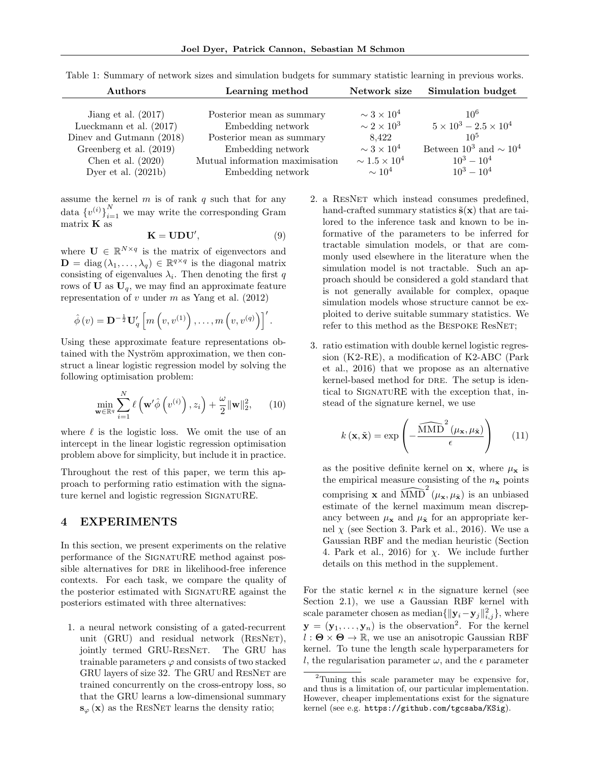| Authors                   | Learning method                 | Network size                      | Simulation budget                 |  |
|---------------------------|---------------------------------|-----------------------------------|-----------------------------------|--|
| Jiang et al. $(2017)$     | Posterior mean as summary       | $\sim$ 3 $\times$ 10 <sup>4</sup> | $10^{6}$                          |  |
| Lueckmann et al. $(2017)$ | Embedding network               | $\sim 2 \times 10^3$              | $5 \times 10^3 - 2.5 \times 10^4$ |  |
| Diney and Gutmann (2018)  | Posterior mean as summary       | 8.422                             | $10^{5}$                          |  |
| Greenberg et al. (2019)   | Embedding network               | $\sim 3 \times 10^4$              | Between $10^3$ and $\sim 10^4$    |  |
| Chen et al. $(2020)$      | Mutual information maximisation | $\sim 1.5 \times 10^4$            | $10^3 - 10^4$                     |  |
| Dyer et al. $(2021b)$     | Embedding network               | $\sim 10^4$                       | $10^3 - 10^4$                     |  |

Table 1: Summary of network sizes and simulation budgets for summary statistic learning in previous works.

assume the kernel  $m$  is of rank  $q$  such that for any data  $\{v^{(i)}\}_{i=1}^N$  we may write the corresponding Gram matrix  $\bf{K}$  as

$$
\mathbf{K} = \mathbf{U}\mathbf{D}\mathbf{U}',\tag{9}
$$

where  $\mathbf{U} \in \mathbb{R}^{N \times q}$  is the matrix of eigenvectors and  $\mathbf{D} = \text{diag}(\lambda_1, \dots, \lambda_q) \in \mathbb{R}^{q \times q}$  is the diagonal matrix consisting of eigenvalues  $\lambda_i$ . Then denoting the first q rows of  $\mathbf{U}$  as  $\mathbf{U}_q$ , we may find an approximate feature representation of  $v$  under  $m$  as Yang et al. (2012)

$$
\hat{\phi}(v) = \mathbf{D}^{-\frac{1}{2}} \mathbf{U}'_q \left[ m \left( v, v^{(1)} \right), \dots, m \left( v, v^{(q)} \right) \right]'.
$$

Using these approximate feature representations obtained with the Nyström approximation, we then construct a linear logistic regression model by solving the following optimisation problem:

$$
\min_{\mathbf{w}\in\mathbb{R}^q} \sum_{i=1}^N \ell\left(\mathbf{w}'\hat{\phi}\left(v^{(i)}\right), z_i\right) + \frac{\omega}{2} \|\mathbf{w}\|_2^2, \qquad (10)
$$

where  $\ell$  is the logistic loss. We omit the use of an intercept in the linear logistic regression optimisation problem above for simplicity, but include it in practice.

Throughout the rest of this paper, we term this approach to performing ratio estimation with the signature kernel and logistic regression SignatuRE.

## 4 EXPERIMENTS

In this section, we present experiments on the relative performance of the SIGNATURE method against possible alternatives for DRE in likelihood-free inference contexts. For each task, we compare the quality of the posterior estimated with SIGNATURE against the posteriors estimated with three alternatives:

1. a neural network consisting of a gated-recurrent unit (GRU) and residual network (RESNET), jointly termed GRU-RESNET. The GRU has trainable parameters  $\varphi$  and consists of two stacked GRU layers of size 32. The GRU and ResNet are trained concurrently on the cross-entropy loss, so that the GRU learns a low-dimensional summary  $s_{\varphi}(\mathbf{x})$  as the RESNET learns the density ratio;

- 2. a ResNet which instead consumes predefined, hand-crafted summary statistics  $\tilde{\mathbf{s}}(\mathbf{x})$  that are tailored to the inference task and known to be informative of the parameters to be inferred for tractable simulation models, or that are commonly used elsewhere in the literature when the simulation model is not tractable. Such an approach should be considered a gold standard that is not generally available for complex, opaque simulation models whose structure cannot be exploited to derive suitable summary statistics. We refer to this method as the BESPOKE ResNET;
- 3. ratio estimation with double kernel logistic regression (K2-RE), a modification of K2-ABC (Park et al., 2016) that we propose as an alternative kernel-based method for DRE. The setup is identical to SignatuRE with the exception that, instead of the signature kernel, we use

$$
k(\mathbf{x}, \tilde{\mathbf{x}}) = \exp\left(-\frac{\widehat{\text{MMD}}^2(\mu_{\mathbf{x}}, \mu_{\tilde{\mathbf{x}}})}{\epsilon}\right) \qquad (11)
$$

as the positive definite kernel on **x**, where  $\mu_{\mathbf{x}}$  is the empirical measure consisting of the  $n_x$  points comprising **x** and  $\widehat{\text{MMD}}^2(\mu_{\mathbf{x}}, \mu_{\tilde{\mathbf{x}}})$  is an unbiased estimate of the kernel maximum mean discrepancy between  $\mu_{\mathbf{x}}$  and  $\mu_{\tilde{\mathbf{x}}}$  for an appropriate kernel  $\chi$  (see Section 3. Park et al., 2016). We use a Gaussian RBF and the median heuristic (Section 4. Park et al., 2016) for  $\chi$ . We include further details on this method in the supplement.

For the static kernel  $\kappa$  in the signature kernel (see Section 2.1), we use a Gaussian RBF kernel with scale parameter chosen as median $\{\|\mathbf{y}_i - \mathbf{y}_j\|_{i,j}^2\}$ , where  $y = (y_1, \ldots, y_n)$  is the observation<sup>2</sup>. For the kernel  $l : \Theta \times \Theta \rightarrow \mathbb{R}$ , we use an anisotropic Gaussian RBF kernel. To tune the length scale hyperparameters for l, the regularisation parameter  $\omega$ , and the  $\epsilon$  parameter

<sup>&</sup>lt;sup>2</sup>Tuning this scale parameter may be expensive for, and thus is a limitation of, our particular implementation. However, cheaper implementations exist for the signature kernel (see e.g. https://github.com/tgcsaba/KSig).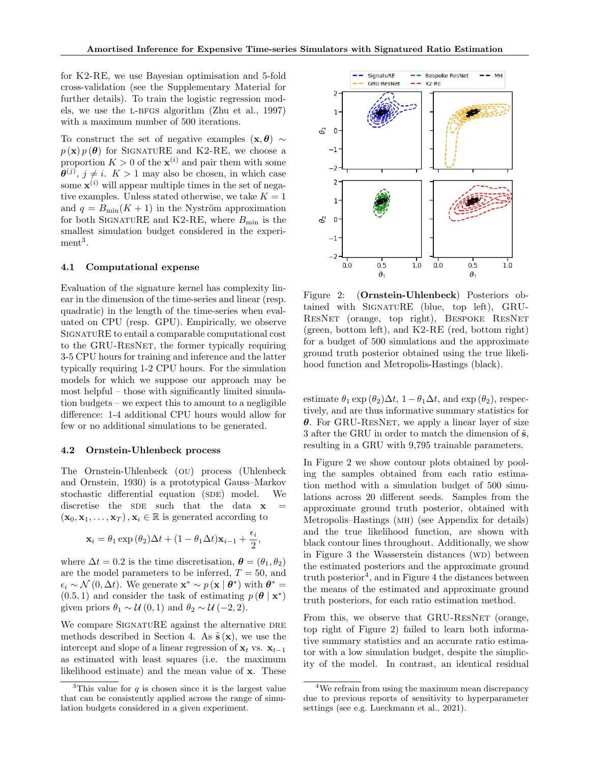for K2-RE, we use Bayesian optimisation and 5-fold cross-validation (see the Supplementary Material for further details). To train the logistic regression models, we use the l-bfgs algorithm (Zhu et al., 1997) with a maximum number of 500 iterations.

To construct the set of negative examples  $(x, \theta) \sim$  $p(\mathbf{x}) p(\boldsymbol{\theta})$  for SIGNATURE and K2-RE, we choose a proportion  $K > 0$  of the  $\mathbf{x}^{(i)}$  and pair them with some  $\boldsymbol{\theta}^{(j)}$ ,  $j \neq i$ .  $K > 1$  may also be chosen, in which case some  $\mathbf{x}^{(i)}$  will appear multiple times in the set of negative examples. Unless stated otherwise, we take  $K = 1$ and  $q = B_{\min}(K + 1)$  in the Nyström approximation for both SIGNATURE and K2-RE, where  $B_{\text{min}}$  is the smallest simulation budget considered in the experi $ment<sup>3</sup>$ .

#### 4.1 Computational expense

Evaluation of the signature kernel has complexity linear in the dimension of the time-series and linear (resp. quadratic) in the length of the time-series when evaluated on CPU (resp. GPU). Empirically, we observe SignatuRE to entail a comparable computational cost to the GRU-ResNet, the former typically requiring 3-5 CPU hours for training and inference and the latter typically requiring 1-2 CPU hours. For the simulation models for which we suppose our approach may be most helpful – those with significantly limited simulation budgets – we expect this to amount to a negligible difference: 1-4 additional CPU hours would allow for few or no additional simulations to be generated.

#### 4.2 Ornstein-Uhlenbeck process

The Ornstein-Uhlenbeck (ou) process (Uhlenbeck and Ornstein, 1930) is a prototypical Gauss–Markov stochastic differential equation (SDE) model. We discretise the SDE such that the data  $x$  $(\mathbf{x}_0, \mathbf{x}_1, \dots, \mathbf{x}_T), \mathbf{x}_i \in \mathbb{R}$  is generated according to

$$
\mathbf{x}_{i} = \theta_{1} \exp (\theta_{2}) \Delta t + (1 - \theta_{1} \Delta t) \mathbf{x}_{i-1} + \frac{\epsilon_{i}}{2},
$$

where  $\Delta t = 0.2$  is the time discretisation,  $\boldsymbol{\theta} = (\theta_1, \theta_2)$ are the model parameters to be inferred,  $T = 50$ , and  $\epsilon_i \sim \mathcal{N}(0, \Delta t)$ . We generate  $\mathbf{x}^* \sim p(\mathbf{x} | \boldsymbol{\theta}^*)$  with  $\boldsymbol{\theta}^* =$  $(0.5, 1)$  and consider the task of estimating  $p(\theta | \mathbf{x}^*)$ given priors  $\theta_1 \sim \mathcal{U}(0, 1)$  and  $\theta_2 \sim \mathcal{U}(-2, 2)$ .

We compare SIGNATURE against the alternative DRE methods described in Section 4. As  $\tilde{\mathbf{s}}(\mathbf{x})$ , we use the intercept and slope of a linear regression of  $\mathbf{x}_t$  vs.  $\mathbf{x}_{t-1}$ as estimated with least squares (i.e. the maximum likelihood estimate) and the mean value of x. These



Figure 2: (Ornstein-Uhlenbeck) Posteriors obtained with SignatuRE (blue, top left), GRU-ResNet (orange, top right), Bespoke ResNet (green, bottom left), and K2-RE (red, bottom right) for a budget of 500 simulations and the approximate ground truth posterior obtained using the true likelihood function and Metropolis-Hastings (black).

estimate  $\theta_1 \exp(\theta_2) \Delta t$ ,  $1 - \theta_1 \Delta t$ , and  $\exp(\theta_2)$ , respectively, and are thus informative summary statistics for  $\theta$ . For GRU-RESNET, we apply a linear layer of size 3 after the GRU in order to match the dimension of  $\tilde{s}$ , resulting in a GRU with 9,795 trainable parameters.

In Figure 2 we show contour plots obtained by pooling the samples obtained from each ratio estimation method with a simulation budget of 500 simulations across 20 different seeds. Samples from the approximate ground truth posterior, obtained with Metropolis–Hastings (mh) (see Appendix for details) and the true likelihood function, are shown with black contour lines throughout. Additionally, we show in Figure 3 the Wasserstein distances  $(WD)$  between the estimated posteriors and the approximate ground truth posterior<sup>4</sup>, and in Figure 4 the distances between the means of the estimated and approximate ground truth posteriors, for each ratio estimation method.

From this, we observe that GRU-RESNET (orange, top right of Figure 2) failed to learn both informative summary statistics and an accurate ratio estimator with a low simulation budget, despite the simplicity of the model. In contrast, an identical residual

<sup>&</sup>lt;sup>3</sup>This value for q is chosen since it is the largest value that can be consistently applied across the range of simulation budgets considered in a given experiment.

<sup>4</sup>We refrain from using the maximum mean discrepancy due to previous reports of sensitivity to hyperparameter settings (see e.g. Lueckmann et al., 2021).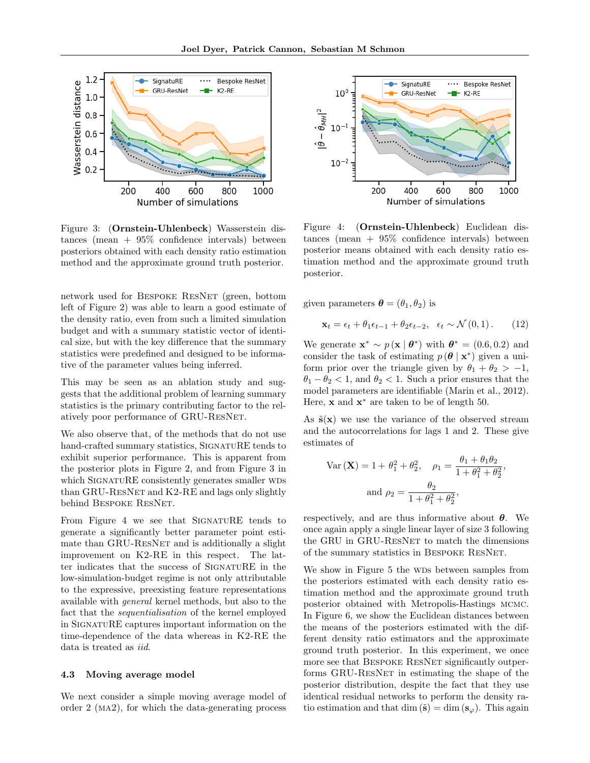

Figure 3: (Ornstein-Uhlenbeck) Wasserstein distances (mean  $+ 95\%$  confidence intervals) between posteriors obtained with each density ratio estimation method and the approximate ground truth posterior.

network used for Bespoke ResNet (green, bottom left of Figure 2) was able to learn a good estimate of the density ratio, even from such a limited simulation budget and with a summary statistic vector of identical size, but with the key difference that the summary statistics were predefined and designed to be informative of the parameter values being inferred.

This may be seen as an ablation study and suggests that the additional problem of learning summary statistics is the primary contributing factor to the relatively poor performance of GRU-ResNet.

We also observe that, of the methods that do not use hand-crafted summary statistics, SIGNATURE tends to exhibit superior performance. This is apparent from the posterior plots in Figure 2, and from Figure 3 in which SIGNATURE consistently generates smaller WDS than GRU-RESNET and K2-RE and lags only slightly behind BESPOKE RESNET.

From Figure 4 we see that SIGNATURE tends to generate a significantly better parameter point estimate than GRU-RESNET and is additionally a slight improvement on K2-RE in this respect. The latter indicates that the success of SignatuRE in the low-simulation-budget regime is not only attributable to the expressive, preexisting feature representations available with general kernel methods, but also to the fact that the *sequentialisation* of the kernel employed in SignatuRE captures important information on the time-dependence of the data whereas in K2-RE the data is treated as *iid*.

#### 4.3 Moving average model

We next consider a simple moving average model of order 2 (ma2), for which the data-generating process



Figure 4: (Ornstein-Uhlenbeck) Euclidean distances (mean + 95% confidence intervals) between posterior means obtained with each density ratio estimation method and the approximate ground truth posterior.

given parameters  $\boldsymbol{\theta} = (\theta_1, \theta_2)$  is

$$
\mathbf{x}_{t} = \epsilon_{t} + \theta_{1}\epsilon_{t-1} + \theta_{2}\epsilon_{t-2}, \quad \epsilon_{t} \sim \mathcal{N}(0, 1). \tag{12}
$$

We generate  $\mathbf{x}^* \sim p(\mathbf{x} | \boldsymbol{\theta}^*)$  with  $\boldsymbol{\theta}^* = (0.6, 0.2)$  and consider the task of estimating  $p(\theta | \mathbf{x}^*)$  given a uniform prior over the triangle given by  $\theta_1 + \theta_2 > -1$ ,  $\theta_1 - \theta_2 < 1$ , and  $\theta_2 < 1$ . Such a prior ensures that the model parameters are identifiable (Marin et al., 2012). Here,  $\mathbf x$  and  $\mathbf x^*$  are taken to be of length 50.

As  $\tilde{s}(x)$  we use the variance of the observed stream and the autocorrelations for lags 1 and 2. These give estimates of

Var 
$$
(\mathbf{X}) = 1 + \theta_1^2 + \theta_2^2
$$
,  $\rho_1 = \frac{\theta_1 + \theta_1 \theta_2}{1 + \theta_1^2 + \theta_2^2}$   
and  $\rho_2 = \frac{\theta_2}{1 + \theta_1^2 + \theta_2^2}$ ,

,

respectively, and are thus informative about  $\theta$ . We once again apply a single linear layer of size 3 following the GRU in GRU-RESNET to match the dimensions of the summary statistics in Bespoke ResNet.

We show in Figure 5 the WDs between samples from the posteriors estimated with each density ratio estimation method and the approximate ground truth posterior obtained with Metropolis-Hastings mcmc. In Figure 6, we show the Euclidean distances between the means of the posteriors estimated with the different density ratio estimators and the approximate ground truth posterior. In this experiment, we once more see that BESPOKE RESNET significantly outperforms GRU-ResNet in estimating the shape of the posterior distribution, despite the fact that they use identical residual networks to perform the density ratio estimation and that dim  $(\tilde{\mathbf{s}}) = \dim (\mathbf{s}_{\varphi})$ . This again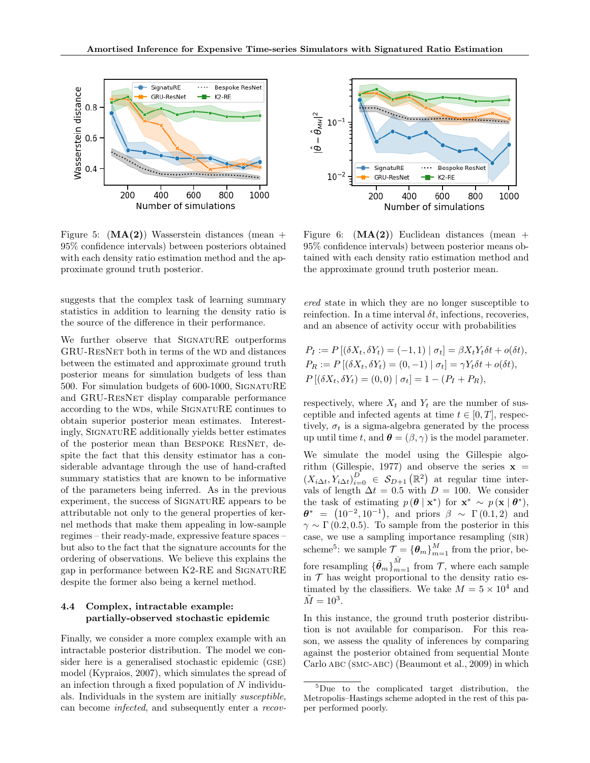

Figure 5:  $(MA(2))$  Wasserstein distances (mean + 95% confidence intervals) between posteriors obtained with each density ratio estimation method and the approximate ground truth posterior.

suggests that the complex task of learning summary statistics in addition to learning the density ratio is the source of the difference in their performance.

We further observe that SIGNATURE outperforms GRU-RESNET both in terms of the WD and distances between the estimated and approximate ground truth posterior means for simulation budgets of less than 500. For simulation budgets of 600-1000, SignatuRE and GRU-ResNet display comparable performance according to the WDs, while SIGNATURE continues to obtain superior posterior mean estimates. Interestingly, SignatuRE additionally yields better estimates of the posterior mean than Bespoke ResNet, despite the fact that this density estimator has a considerable advantage through the use of hand-crafted summary statistics that are known to be informative of the parameters being inferred. As in the previous experiment, the success of SIGNATURE appears to be attributable not only to the general properties of kernel methods that make them appealing in low-sample regimes – their ready-made, expressive feature spaces – but also to the fact that the signature accounts for the ordering of observations. We believe this explains the gap in performance between K2-RE and SignatuRE despite the former also being a kernel method.

#### 4.4 Complex, intractable example: partially-observed stochastic epidemic

Finally, we consider a more complex example with an intractable posterior distribution. The model we consider here is a generalised stochastic epidemic (GSE) model (Kypraios, 2007), which simulates the spread of an infection through a fixed population of N individuals. Individuals in the system are initially susceptible, can become infected, and subsequently enter a recov-



Figure 6:  $(MA(2))$  Euclidean distances (mean + 95% confidence intervals) between posterior means obtained with each density ratio estimation method and the approximate ground truth posterior mean.

ered state in which they are no longer susceptible to reinfection. In a time interval  $\delta t$ , infections, recoveries, and an absence of activity occur with probabilities

$$
P_I := P [(\delta X_t, \delta Y_t) = (-1, 1) | \sigma_t] = \beta X_t Y_t \delta t + o(\delta t),
$$
  
\n
$$
P_R := P [(\delta X_t, \delta Y_t) = (0, -1) | \sigma_t] = \gamma Y_t \delta t + o(\delta t),
$$
  
\n
$$
P [(\delta X_t, \delta Y_t) = (0, 0) | \sigma_t] = 1 - (P_I + P_R),
$$

respectively, where  $X_t$  and  $Y_t$  are the number of susceptible and infected agents at time  $t \in [0, T]$ , respectively,  $\sigma_t$  is a sigma-algebra generated by the process up until time t, and  $\boldsymbol{\theta} = (\beta, \gamma)$  is the model parameter.

We simulate the model using the Gillespie algorithm (Gillespie, 1977) and observe the series  $x =$  $(X_{i\Delta t}, Y_{i\Delta t})_{i=0}^D \in \mathcal{S}_{D+1}(\mathbb{R}^2)$  at regular time intervals of length  $\Delta t = 0.5$  with  $D = 100$ . We consider the task of estimating  $p(\theta | \mathbf{x}^*)$  for  $\mathbf{x}^* \sim p(\mathbf{x} | \theta^*)$ ,  $\theta^* = (10^{-2}, 10^{-1}), \text{ and priors } \beta \sim \Gamma(0.1, 2) \text{ and}$  $\gamma \sim \Gamma(0.2, 0.5)$ . To sample from the posterior in this case, we use a sampling importance resampling (sir) scheme<sup>5</sup>: we sample  $\mathcal{T} = {\{\theta_m\}}_{m=1}^M$  from the prior, before resampling  $\lbrace \tilde{\theta}_m \rbrace_{m=1}^{\tilde{M}}$  from  $\mathcal{T}$ , where each sample in  $\mathcal T$  has weight proportional to the density ratio estimated by the classifiers. We take  $M = 5 \times 10^4$  and  $\tilde{M} = 10^3.$ 

In this instance, the ground truth posterior distribution is not available for comparison. For this reason, we assess the quality of inferences by comparing against the posterior obtained from sequential Monte Carlo abc (smc-abc) (Beaumont et al., 2009) in which

<sup>5</sup>Due to the complicated target distribution, the Metropolis–Hastings scheme adopted in the rest of this paper performed poorly.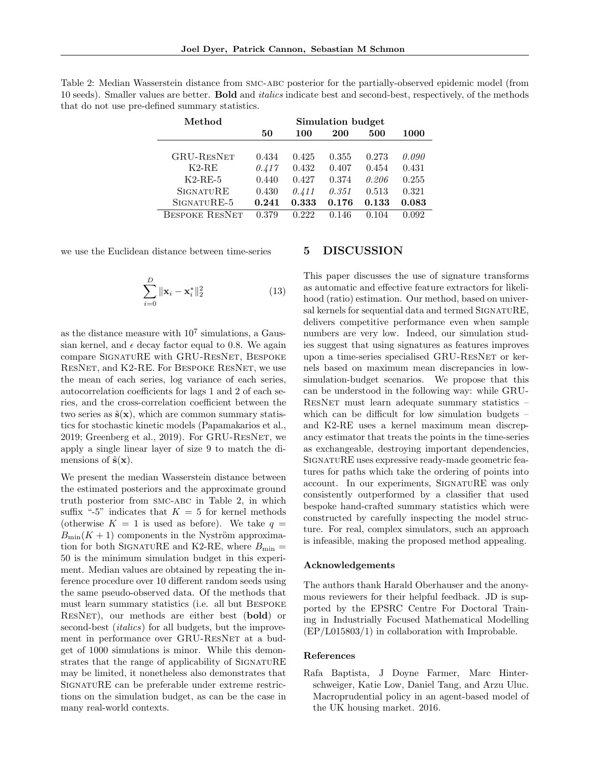| Method                | Simulation budget |       |       |       |       |
|-----------------------|-------------------|-------|-------|-------|-------|
|                       | 50                | 100   | 200   | 500   | 1000  |
|                       |                   |       |       |       |       |
| <b>GRU-RESNET</b>     | 0.434             | 0.425 | 0.355 | 0.273 | 0.090 |
| $K2-RE$               | 0.417             | 0.432 | 0.407 | 0.454 | 0.431 |
| $K2-RE-5$             | 0.440             | 0.427 | 0.374 | 0.206 | 0.255 |
| <b>SIGNATURE</b>      | 0.430             | 0.411 | 0.351 | 0.513 | 0.321 |
| SIGNATURE-5           | 0.241             | 0.333 | 0.176 | 0.133 | 0.083 |
| <b>BESPOKE RESNET</b> | 0.379             | 0.222 | 0.146 | 0.104 | 0.092 |

Table 2: Median Wasserstein distance from SMC-ABC posterior for the partially-observed epidemic model (from 10 seeds). Smaller values are better. Bold and *italics* indicate best and second-best, respectively, of the methods that do not use pre-defined summary statistics.

we use the Euclidean distance between time-series

$$
\sum_{i=0}^{D} \|\mathbf{x}_i - \mathbf{x}_i^*\|_2^2
$$
 (13)

as the distance measure with  $10<sup>7</sup>$  simulations, a Gaussian kernel, and  $\epsilon$  decay factor equal to 0.8. We again compare SignatuRE with GRU-ResNet, Bespoke ResNet, and K2-RE. For Bespoke ResNet, we use the mean of each series, log variance of each series, autocorrelation coefficients for lags 1 and 2 of each series, and the cross-correlation coefficient between the two series as  $\tilde{\mathbf{s}}(\mathbf{x})$ , which are common summary statistics for stochastic kinetic models (Papamakarios et al., 2019; Greenberg et al., 2019). For GRU-ResNet, we apply a single linear layer of size 9 to match the dimensions of  $\tilde{\mathbf{s}}(\mathbf{x})$ .

We present the median Wasserstein distance between the estimated posteriors and the approximate ground truth posterior from smc-abc in Table 2, in which suffix "-5" indicates that  $K = 5$  for kernel methods (otherwise  $K = 1$  is used as before). We take  $q =$  $B_{\text{min}}(K + 1)$  components in the Nyström approximation for both SIGNATURE and K2-RE, where  $B_{\text{min}} =$ 50 is the minimum simulation budget in this experiment. Median values are obtained by repeating the inference procedure over 10 different random seeds using the same pseudo-observed data. Of the methods that must learn summary statistics (i.e. all but Bespoke ResNet), our methods are either best (bold) or second-best *(italics)* for all budgets, but the improvement in performance over GRU-RESNET at a budget of 1000 simulations is minor. While this demonstrates that the range of applicability of SIGNATURE may be limited, it nonetheless also demonstrates that SignatuRE can be preferable under extreme restrictions on the simulation budget, as can be the case in many real-world contexts.

## 5 DISCUSSION

This paper discusses the use of signature transforms as automatic and effective feature extractors for likelihood (ratio) estimation. Our method, based on universal kernels for sequential data and termed SIGNATURE, delivers competitive performance even when sample numbers are very low. Indeed, our simulation studies suggest that using signatures as features improves upon a time-series specialised GRU-ResNet or kernels based on maximum mean discrepancies in lowsimulation-budget scenarios. We propose that this can be understood in the following way: while GRU-ResNet must learn adequate summary statistics – which can be difficult for low simulation budgets – and K2-RE uses a kernel maximum mean discrepancy estimator that treats the points in the time-series as exchangeable, destroying important dependencies, SignatuRE uses expressive ready-made geometric features for paths which take the ordering of points into account. In our experiments, SignatuRE was only consistently outperformed by a classifier that used bespoke hand-crafted summary statistics which were constructed by carefully inspecting the model structure. For real, complex simulators, such an approach is infeasible, making the proposed method appealing.

#### Acknowledgements

The authors thank Harald Oberhauser and the anonymous reviewers for their helpful feedback. JD is supported by the EPSRC Centre For Doctoral Training in Industrially Focused Mathematical Modelling (EP/L015803/1) in collaboration with Improbable.

#### References

Rafa Baptista, J Doyne Farmer, Marc Hinterschweiger, Katie Low, Daniel Tang, and Arzu Uluc. Macroprudential policy in an agent-based model of the UK housing market. 2016.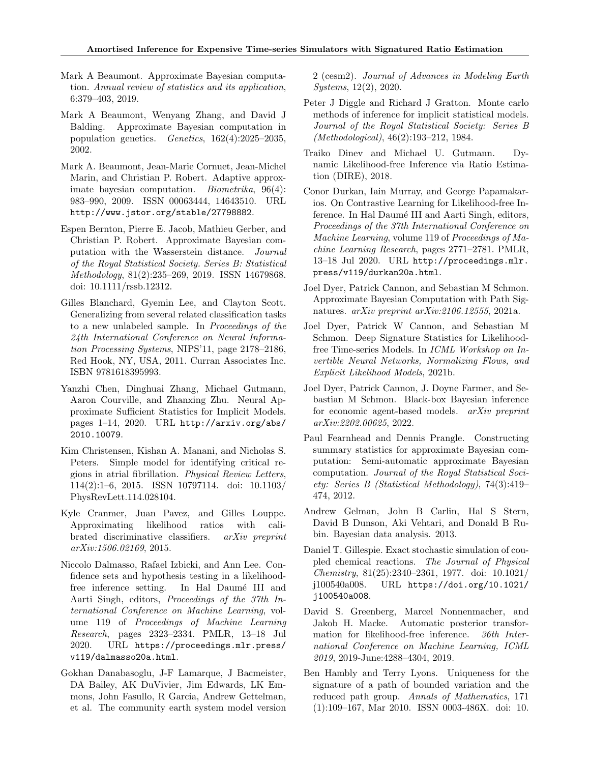- Mark A Beaumont. Approximate Bayesian computation. Annual review of statistics and its application, 6:379–403, 2019.
- Mark A Beaumont, Wenyang Zhang, and David J Balding. Approximate Bayesian computation in population genetics. Genetics, 162(4):2025–2035, 2002.
- Mark A. Beaumont, Jean-Marie Cornuet, Jean-Michel Marin, and Christian P. Robert. Adaptive approximate bayesian computation. Biometrika, 96(4): 983–990, 2009. ISSN 00063444, 14643510. URL http://www.jstor.org/stable/27798882.
- Espen Bernton, Pierre E. Jacob, Mathieu Gerber, and Christian P. Robert. Approximate Bayesian computation with the Wasserstein distance. Journal of the Royal Statistical Society. Series B: Statistical Methodology, 81(2):235–269, 2019. ISSN 14679868. doi: 10.1111/rssb.12312.
- Gilles Blanchard, Gyemin Lee, and Clayton Scott. Generalizing from several related classification tasks to a new unlabeled sample. In Proceedings of the 24th International Conference on Neural Information Processing Systems, NIPS'11, page 2178–2186, Red Hook, NY, USA, 2011. Curran Associates Inc. ISBN 9781618395993.
- Yanzhi Chen, Dinghuai Zhang, Michael Gutmann, Aaron Courville, and Zhanxing Zhu. Neural Approximate Sufficient Statistics for Implicit Models. pages 1–14, 2020. URL http://arxiv.org/abs/ 2010.10079.
- Kim Christensen, Kishan A. Manani, and Nicholas S. Peters. Simple model for identifying critical regions in atrial fibrillation. Physical Review Letters, 114(2):1–6, 2015. ISSN 10797114. doi: 10.1103/ PhysRevLett.114.028104.
- Kyle Cranmer, Juan Pavez, and Gilles Louppe. Approximating likelihood ratios with calibrated discriminative classifiers. arXiv preprint arXiv:1506.02169, 2015.
- Niccolo Dalmasso, Rafael Izbicki, and Ann Lee. Confidence sets and hypothesis testing in a likelihoodfree inference setting. In Hal Daumé III and Aarti Singh, editors, Proceedings of the 37th International Conference on Machine Learning, volume 119 of Proceedings of Machine Learning Research, pages 2323–2334. PMLR, 13–18 Jul 2020. URL https://proceedings.mlr.press/ v119/dalmasso20a.html.
- Gokhan Danabasoglu, J-F Lamarque, J Bacmeister, DA Bailey, AK DuVivier, Jim Edwards, LK Emmons, John Fasullo, R Garcia, Andrew Gettelman, et al. The community earth system model version

2 (cesm2). Journal of Advances in Modeling Earth Systems, 12(2), 2020.

- Peter J Diggle and Richard J Gratton. Monte carlo methods of inference for implicit statistical models. Journal of the Royal Statistical Society: Series B (Methodological), 46(2):193–212, 1984.
- Traiko Dinev and Michael U. Gutmann. Dynamic Likelihood-free Inference via Ratio Estimation (DIRE), 2018.
- Conor Durkan, Iain Murray, and George Papamakarios. On Contrastive Learning for Likelihood-free Inference. In Hal Daumé III and Aarti Singh, editors, Proceedings of the 37th International Conference on Machine Learning, volume 119 of Proceedings of Machine Learning Research, pages 2771–2781. PMLR, 13–18 Jul 2020. URL http://proceedings.mlr. press/v119/durkan20a.html.
- Joel Dyer, Patrick Cannon, and Sebastian M Schmon. Approximate Bayesian Computation with Path Signatures. arXiv preprint arXiv:2106.12555, 2021a.
- Joel Dyer, Patrick W Cannon, and Sebastian M Schmon. Deep Signature Statistics for Likelihoodfree Time-series Models. In ICML Workshop on Invertible Neural Networks, Normalizing Flows, and Explicit Likelihood Models, 2021b.
- Joel Dyer, Patrick Cannon, J. Doyne Farmer, and Sebastian M Schmon. Black-box Bayesian inference for economic agent-based models. arXiv preprint arXiv:2202.00625, 2022.
- Paul Fearnhead and Dennis Prangle. Constructing summary statistics for approximate Bayesian computation: Semi-automatic approximate Bayesian computation. Journal of the Royal Statistical Society: Series B (Statistical Methodology), 74(3):419– 474, 2012.
- Andrew Gelman, John B Carlin, Hal S Stern, David B Dunson, Aki Vehtari, and Donald B Rubin. Bayesian data analysis. 2013.
- Daniel T. Gillespie. Exact stochastic simulation of coupled chemical reactions. The Journal of Physical Chemistry, 81(25):2340–2361, 1977. doi: 10.1021/ j100540a008. URL https://doi.org/10.1021/ j100540a008.
- David S. Greenberg, Marcel Nonnenmacher, and Jakob H. Macke. Automatic posterior transformation for likelihood-free inference. 36th International Conference on Machine Learning, ICML 2019, 2019-June:4288–4304, 2019.
- Ben Hambly and Terry Lyons. Uniqueness for the signature of a path of bounded variation and the reduced path group. Annals of Mathematics, 171 (1):109–167, Mar 2010. ISSN 0003-486X. doi: 10.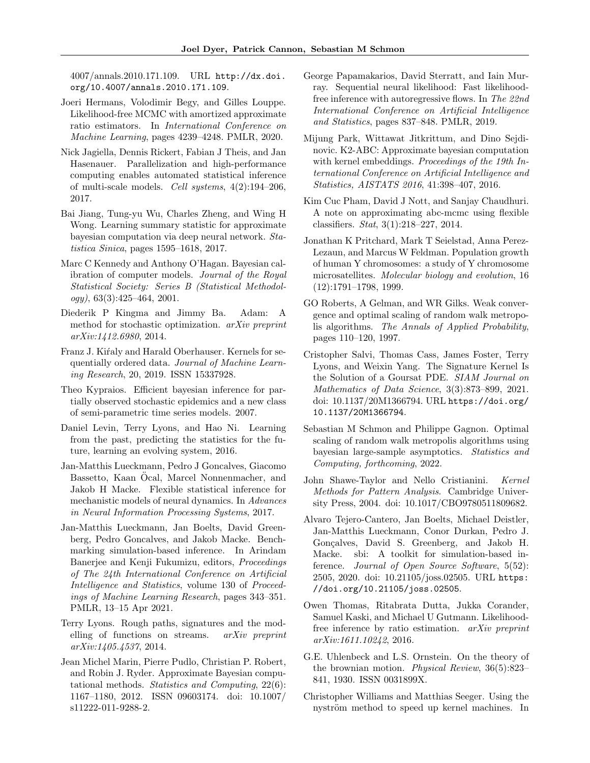4007/annals.2010.171.109. URL http://dx.doi. org/10.4007/annals.2010.171.109.

- Joeri Hermans, Volodimir Begy, and Gilles Louppe. Likelihood-free MCMC with amortized approximate ratio estimators. In International Conference on Machine Learning, pages 4239–4248. PMLR, 2020.
- Nick Jagiella, Dennis Rickert, Fabian J Theis, and Jan Hasenauer. Parallelization and high-performance computing enables automated statistical inference of multi-scale models. Cell systems, 4(2):194–206, 2017.
- Bai Jiang, Tung-yu Wu, Charles Zheng, and Wing H Wong. Learning summary statistic for approximate bayesian computation via deep neural network. Statistica Sinica, pages 1595–1618, 2017.
- Marc C Kennedy and Anthony O'Hagan. Bayesian calibration of computer models. Journal of the Royal Statistical Society: Series B (Statistical Methodology), 63(3):425–464, 2001.
- Diederik P Kingma and Jimmy Ba. Adam: A method for stochastic optimization. arXiv preprint arXiv:1412.6980, 2014.
- Franz J. Kiŕaly and Harald Oberhauser. Kernels for sequentially ordered data. Journal of Machine Learning Research, 20, 2019. ISSN 15337928.
- Theo Kypraios. Efficient bayesian inference for partially observed stochastic epidemics and a new class of semi-parametric time series models. 2007.
- Daniel Levin, Terry Lyons, and Hao Ni. Learning from the past, predicting the statistics for the future, learning an evolving system, 2016.
- Jan-Matthis Lueckmann, Pedro J Goncalves, Giacomo Bassetto, Kaan Ocal, Marcel Nonnenmacher, and Jakob H Macke. Flexible statistical inference for mechanistic models of neural dynamics. In Advances in Neural Information Processing Systems, 2017.
- Jan-Matthis Lueckmann, Jan Boelts, David Greenberg, Pedro Goncalves, and Jakob Macke. Benchmarking simulation-based inference. In Arindam Banerjee and Kenji Fukumizu, editors, Proceedings of The 24th International Conference on Artificial Intelligence and Statistics, volume 130 of Proceedings of Machine Learning Research, pages 343–351. PMLR, 13–15 Apr 2021.
- Terry Lyons. Rough paths, signatures and the modelling of functions on streams. arXiv preprint arXiv:1405.4537, 2014.
- Jean Michel Marin, Pierre Pudlo, Christian P. Robert, and Robin J. Ryder. Approximate Bayesian computational methods. Statistics and Computing, 22(6): 1167–1180, 2012. ISSN 09603174. doi: 10.1007/ s11222-011-9288-2.
- George Papamakarios, David Sterratt, and Iain Murray. Sequential neural likelihood: Fast likelihoodfree inference with autoregressive flows. In The 22nd International Conference on Artificial Intelligence and Statistics, pages 837–848. PMLR, 2019.
- Mijung Park, Wittawat Jitkrittum, and Dino Sejdinovic. K2-ABC: Approximate bayesian computation with kernel embeddings. Proceedings of the 19th International Conference on Artificial Intelligence and Statistics, AISTATS 2016, 41:398–407, 2016.
- Kim Cuc Pham, David J Nott, and Sanjay Chaudhuri. A note on approximating abc-mcmc using flexible classifiers. Stat, 3(1):218–227, 2014.
- Jonathan K Pritchard, Mark T Seielstad, Anna Perez-Lezaun, and Marcus W Feldman. Population growth of human Y chromosomes: a study of Y chromosome microsatellites. Molecular biology and evolution, 16 (12):1791–1798, 1999.
- GO Roberts, A Gelman, and WR Gilks. Weak convergence and optimal scaling of random walk metropolis algorithms. The Annals of Applied Probability, pages 110–120, 1997.
- Cristopher Salvi, Thomas Cass, James Foster, Terry Lyons, and Weixin Yang. The Signature Kernel Is the Solution of a Goursat PDE. SIAM Journal on Mathematics of Data Science, 3(3):873–899, 2021. doi: 10.1137/20M1366794. URL https://doi.org/ 10.1137/20M1366794.
- Sebastian M Schmon and Philippe Gagnon. Optimal scaling of random walk metropolis algorithms using bayesian large-sample asymptotics. Statistics and Computing, forthcoming, 2022.
- John Shawe-Taylor and Nello Cristianini. Kernel Methods for Pattern Analysis. Cambridge University Press, 2004. doi: 10.1017/CBO9780511809682.
- Alvaro Tejero-Cantero, Jan Boelts, Michael Deistler, Jan-Matthis Lueckmann, Conor Durkan, Pedro J. Gonçalves, David S. Greenberg, and Jakob H. Macke. sbi: A toolkit for simulation-based inference. Journal of Open Source Software, 5(52): 2505, 2020. doi: 10.21105/joss.02505. URL https: //doi.org/10.21105/joss.02505.
- Owen Thomas, Ritabrata Dutta, Jukka Corander, Samuel Kaski, and Michael U Gutmann. Likelihoodfree inference by ratio estimation. arXiv preprint arXiv:1611.10242, 2016.
- G.E. Uhlenbeck and L.S. Ornstein. On the theory of the brownian motion. Physical Review, 36(5):823– 841, 1930. ISSN 0031899X.
- Christopher Williams and Matthias Seeger. Using the nyström method to speed up kernel machines. In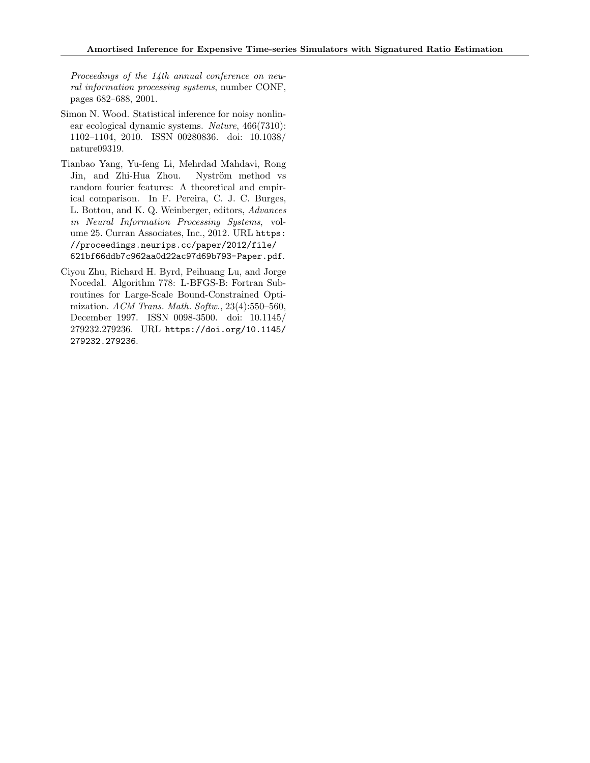Proceedings of the 14th annual conference on neural information processing systems, number CONF, pages 682–688, 2001.

- Simon N. Wood. Statistical inference for noisy nonlinear ecological dynamic systems. Nature, 466(7310): 1102–1104, 2010. ISSN 00280836. doi: 10.1038/ nature09319.
- Tianbao Yang, Yu-feng Li, Mehrdad Mahdavi, Rong Jin, and Zhi-Hua Zhou. Nyström method vs random fourier features: A theoretical and empirical comparison. In F. Pereira, C. J. C. Burges, L. Bottou, and K. Q. Weinberger, editors, Advances in Neural Information Processing Systems, volume 25. Curran Associates, Inc., 2012. URL https: //proceedings.neurips.cc/paper/2012/file/ 621bf66ddb7c962aa0d22ac97d69b793-Paper.pdf.
- Ciyou Zhu, Richard H. Byrd, Peihuang Lu, and Jorge Nocedal. Algorithm 778: L-BFGS-B: Fortran Subroutines for Large-Scale Bound-Constrained Optimization. ACM Trans. Math. Softw., 23(4):550–560, December 1997. ISSN 0098-3500. doi: 10.1145/ 279232.279236. URL https://doi.org/10.1145/ 279232.279236.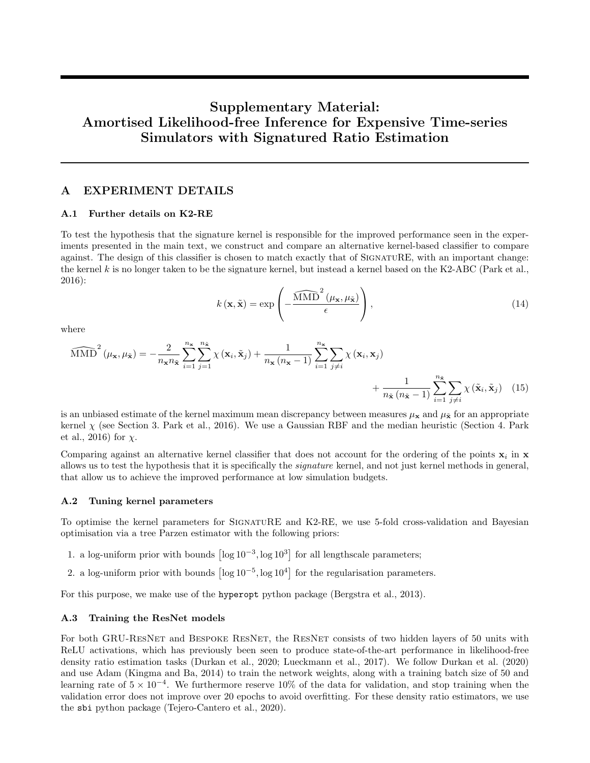# Supplementary Material: Amortised Likelihood-free Inference for Expensive Time-series Simulators with Signatured Ratio Estimation

## A EXPERIMENT DETAILS

#### A.1 Further details on K2-RE

To test the hypothesis that the signature kernel is responsible for the improved performance seen in the experiments presented in the main text, we construct and compare an alternative kernel-based classifier to compare against. The design of this classifier is chosen to match exactly that of SIGNATURE, with an important change: the kernel k is no longer taken to be the signature kernel, but instead a kernel based on the K2-ABC (Park et al., 2016):

$$
k(\mathbf{x}, \tilde{\mathbf{x}}) = \exp\left(-\frac{\widehat{\text{MMD}}^2(\mu_{\mathbf{x}}, \mu_{\tilde{\mathbf{x}}})}{\epsilon}\right),\tag{14}
$$

where

$$
\widehat{\text{MMD}}^{2}(\mu_{\mathbf{x}}, \mu_{\tilde{\mathbf{x}}}) = -\frac{2}{n_{\mathbf{x}}n_{\tilde{\mathbf{x}}}} \sum_{i=1}^{n_{\mathbf{x}}} \sum_{j=1}^{n_{\tilde{\mathbf{x}}}} \chi(\mathbf{x}_{i}, \tilde{\mathbf{x}}_{j}) + \frac{1}{n_{\mathbf{x}}(n_{\mathbf{x}} - 1)} \sum_{i=1}^{n_{\mathbf{x}}} \sum_{j \neq i} \chi(\mathbf{x}_{i}, \mathbf{x}_{j}) + \frac{1}{n_{\tilde{\mathbf{x}}}(n_{\tilde{\mathbf{x}} - 1)} \sum_{i=1}^{n_{\tilde{\mathbf{x}}}} \sum_{j \neq i} \chi(\tilde{\mathbf{x}}_{i}, \tilde{\mathbf{x}}_{j})} (15)
$$

is an unbiased estimate of the kernel maximum mean discrepancy between measures  $\mu_x$  and  $\mu_{\bar{x}}$  for an appropriate kernel  $\chi$  (see Section 3. Park et al., 2016). We use a Gaussian RBF and the median heuristic (Section 4. Park et al., 2016) for  $\chi$ .

Comparing against an alternative kernel classifier that does not account for the ordering of the points  $x_i$  in  $x$ allows us to test the hypothesis that it is specifically the *signature* kernel, and not just kernel methods in general, that allow us to achieve the improved performance at low simulation budgets.

#### A.2 Tuning kernel parameters

To optimise the kernel parameters for SignatuRE and K2-RE, we use 5-fold cross-validation and Bayesian optimisation via a tree Parzen estimator with the following priors:

- 1. a log-uniform prior with bounds  $\lceil \log 10^{-3}, \log 10^3 \rceil$  for all lengthscale parameters;
- 2. a log-uniform prior with bounds  $\lceil \log 10^{-5} \rceil$ ,  $\log 10^{4} \rceil$  for the regularisation parameters.

For this purpose, we make use of the hyperopt python package (Bergstra et al., 2013).

#### A.3 Training the ResNet models

For both GRU-RESNET and BESPOKE RESNET, the RESNET consists of two hidden layers of 50 units with ReLU activations, which has previously been seen to produce state-of-the-art performance in likelihood-free density ratio estimation tasks (Durkan et al., 2020; Lueckmann et al., 2017). We follow Durkan et al. (2020) and use Adam (Kingma and Ba, 2014) to train the network weights, along with a training batch size of 50 and learning rate of  $5 \times 10^{-4}$ . We furthermore reserve 10% of the data for validation, and stop training when the validation error does not improve over 20 epochs to avoid overfitting. For these density ratio estimators, we use the sbi python package (Tejero-Cantero et al., 2020).